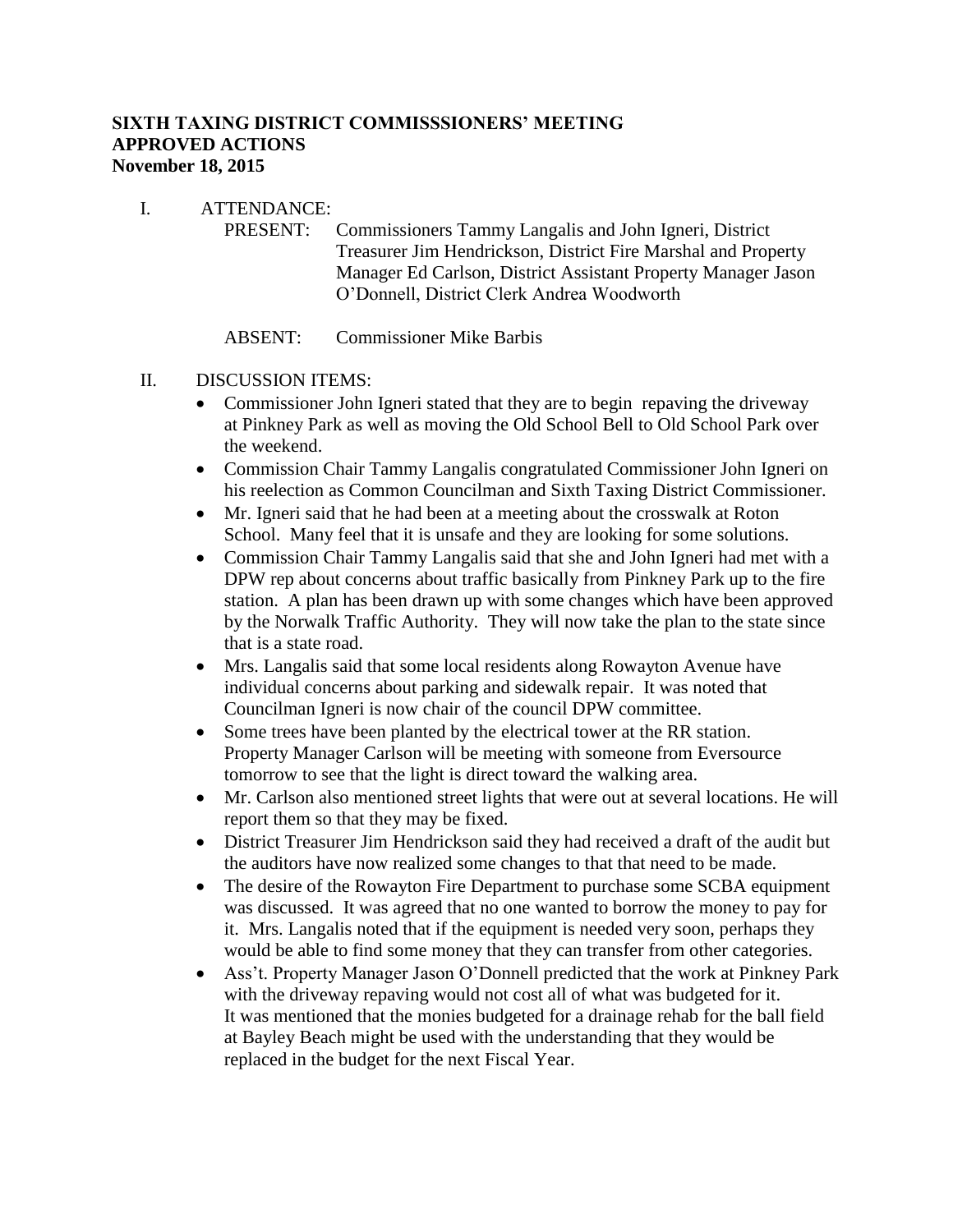## **SIXTH TAXING DISTRICT COMMISSSIONERS' MEETING APPROVED ACTIONS November 18, 2015**

### I. ATTENDANCE:

PRESENT: Commissioners Tammy Langalis and John Igneri, District Treasurer Jim Hendrickson, District Fire Marshal and Property Manager Ed Carlson, District Assistant Property Manager Jason O'Donnell, District Clerk Andrea Woodworth

#### ABSENT: Commissioner Mike Barbis

### II. DISCUSSION ITEMS:

- Commissioner John Igneri stated that they are to begin repaving the driveway at Pinkney Park as well as moving the Old School Bell to Old School Park over the weekend.
- Commission Chair Tammy Langalis congratulated Commissioner John Igneri on his reelection as Common Councilman and Sixth Taxing District Commissioner.
- Mr. Igneri said that he had been at a meeting about the crosswalk at Roton School. Many feel that it is unsafe and they are looking for some solutions.
- Commission Chair Tammy Langalis said that she and John Igneri had met with a DPW rep about concerns about traffic basically from Pinkney Park up to the fire station. A plan has been drawn up with some changes which have been approved by the Norwalk Traffic Authority. They will now take the plan to the state since that is a state road.
- Mrs. Langalis said that some local residents along Rowayton Avenue have individual concerns about parking and sidewalk repair. It was noted that Councilman Igneri is now chair of the council DPW committee.
- Some trees have been planted by the electrical tower at the RR station. Property Manager Carlson will be meeting with someone from Eversource tomorrow to see that the light is direct toward the walking area.
- Mr. Carlson also mentioned street lights that were out at several locations. He will report them so that they may be fixed.
- District Treasurer Jim Hendrickson said they had received a draft of the audit but the auditors have now realized some changes to that that need to be made.
- The desire of the Rowayton Fire Department to purchase some SCBA equipment was discussed. It was agreed that no one wanted to borrow the money to pay for it. Mrs. Langalis noted that if the equipment is needed very soon, perhaps they would be able to find some money that they can transfer from other categories.
- Ass't. Property Manager Jason O'Donnell predicted that the work at Pinkney Park with the driveway repaving would not cost all of what was budgeted for it. It was mentioned that the monies budgeted for a drainage rehab for the ball field at Bayley Beach might be used with the understanding that they would be replaced in the budget for the next Fiscal Year.